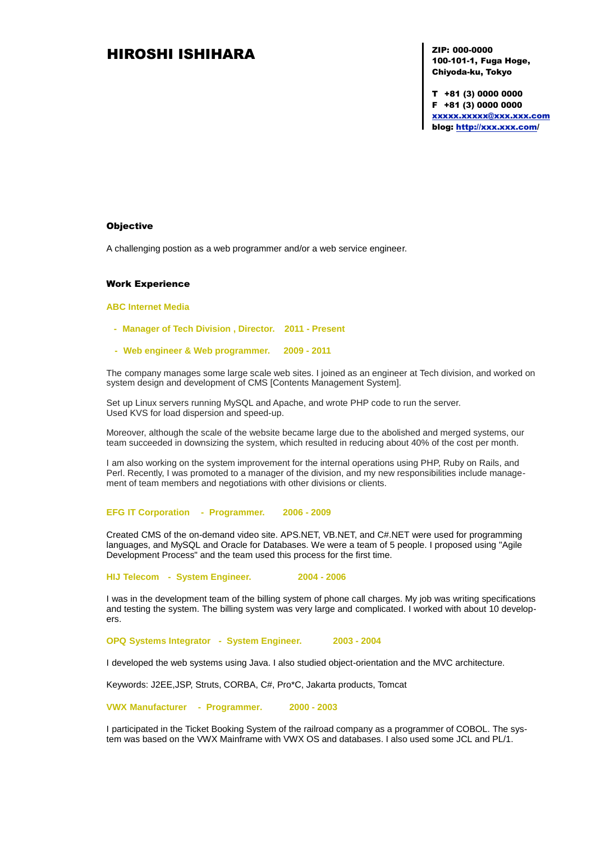# HIROSHI ISHIHARA XIP: 000-0000

100-101-1, Fuga Hoge, Chiyoda-ku, Tokyo

T +81 (3) 0000 0000 F +81 (3) 0000 0000 [xxxxx.xxxxx@xxx.xxx.com](mailto:xxxxx@xxx.xxx.com) blog:<http://xxx.xxx.com/>

#### **Objective**

A challenging postion as a web programmer and/or a web service engineer.

#### Work Experience

### **ABC Internet Media**

- **- Manager of Tech Division , Director. 2011 - Present**
- **- Web engineer & Web programmer. 2009 - 2011**

The company manages some large scale web sites. I joined as an engineer at Tech division, and worked on system design and development of CMS [Contents Management System].

Set up Linux servers running MySQL and Apache, and wrote PHP code to run the server. Used KVS for load dispersion and speed-up.

Moreover, although the scale of the website became large due to the abolished and merged systems, our team succeeded in downsizing the system, which resulted in reducing about 40% of the cost per month.

I am also working on the system improvement for the internal operations using PHP, Ruby on Rails, and Perl. Recently, I was promoted to a manager of the division, and my new responsibilities include management of team members and negotiations with other divisions or clients.

#### **EFG IT Corporation - Programmer. 2006 - 2009**

Created CMS of the on-demand video site. APS.NET, VB.NET, and C#.NET were used for programming languages, and MySQL and Oracle for Databases. We were a team of 5 people. I proposed using "Agile Development Process" and the team used this process for the first time.

**HIJ Telecom - System Engineer. 2004 - 2006**

I was in the development team of the billing system of phone call charges. My job was writing specifications and testing the system. The billing system was very large and complicated. I worked with about 10 developers.

**OPQ Systems Integrator - System Engineer. 2003 - 2004**

I developed the web systems using Java. I also studied object-orientation and the MVC architecture.

Keywords: J2EE,JSP, Struts, CORBA, C#, Pro\*C, Jakarta products, Tomcat

**VWX Manufacturer - Programmer. 2000 - 2003**

I participated in the Ticket Booking System of the railroad company as a programmer of COBOL. The system was based on the VWX Mainframe with VWX OS and databases. I also used some JCL and PL/1.